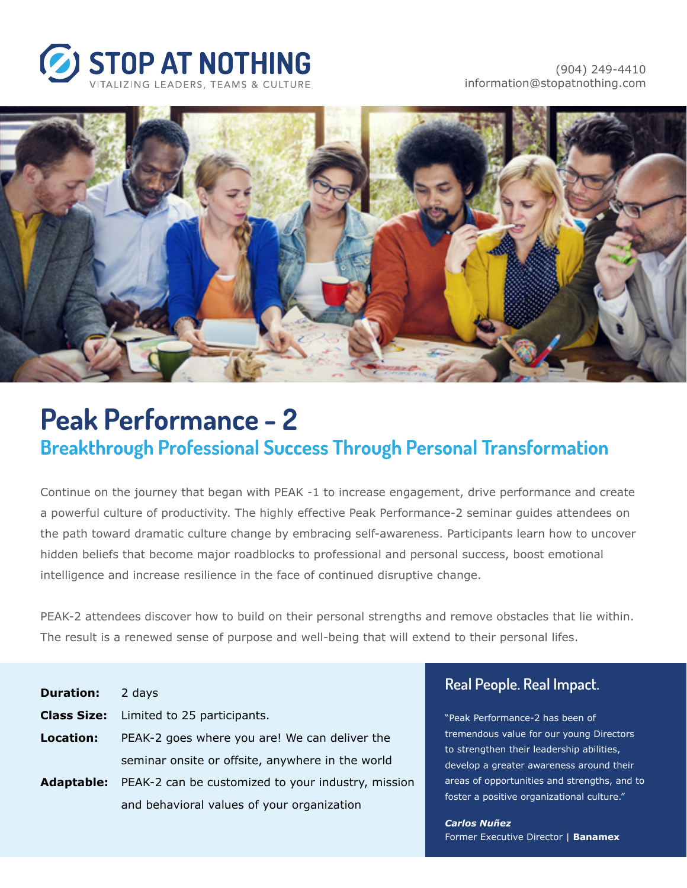



# **Peak Performance - 2 Breakthrough Professional Success Through Personal Transformation**

Continue on the journey that began with PEAK -1 to increase engagement, drive performance and create a powerful culture of productivity. The highly effective Peak Performance-2 seminar guides attendees on the path toward dramatic culture change by embracing self-awareness. Participants learn how to uncover hidden beliefs that become major roadblocks to professional and personal success, boost emotional intelligence and increase resilience in the face of continued disruptive change.

PEAK-2 attendees discover how to build on their personal strengths and remove obstacles that lie within. The result is a renewed sense of purpose and well-being that will extend to their personal lifes.

| <b>Duration:</b> | 2 days                                             |
|------------------|----------------------------------------------------|
|                  | <b>Class Size:</b> Limited to 25 participants.     |
| <b>Location:</b> | PEAK-2 goes where you are! We can deliver the      |
|                  | seminar onsite or offsite, anywhere in the world   |
| Adaptable:       | PEAK-2 can be customized to your industry, mission |
|                  | and behavioral values of your organization         |

#### **Real People. Real Impact.**

"Peak Performance-2 has been of tremendous value for our young Directors to strengthen their leadership abilities, develop a greater awareness around their areas of opportunities and strengths, and to foster a positive organizational culture."

*Carlos Nuñez* Former Executive Director | **Banamex**